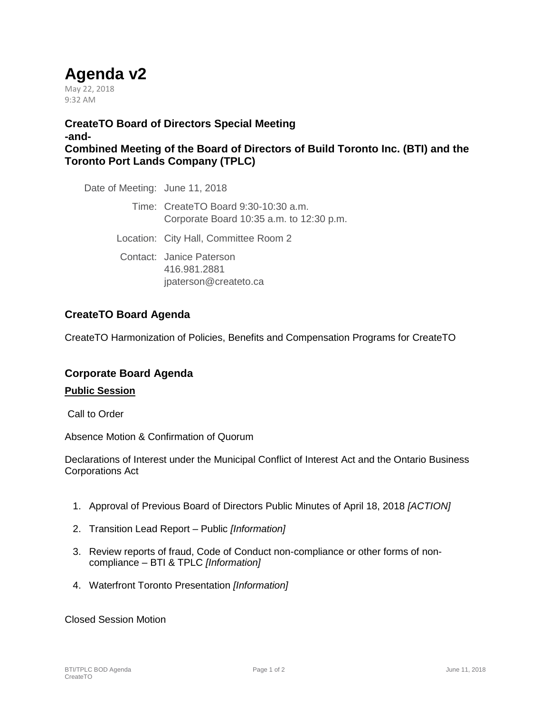# **Agenda v2**

May 22, 2018 9:32 AM

**CreateTO Board of Directors Special Meeting -and-Combined Meeting of the Board of Directors of Build Toronto Inc. (BTI) and the Toronto Port Lands Company (TPLC)**

Date of Meeting: June 11, 2018

Time: CreateTO Board 9:30-10:30 a.m. Corporate Board 10:35 a.m. to 12:30 p.m.

Location: City Hall, Committee Room 2

Contact: Janice Paterson 416.981.2881 jpaterson@createto.ca

# **CreateTO Board Agenda**

CreateTO Harmonization of Policies, Benefits and Compensation Programs for CreateTO

## **Corporate Board Agenda**

#### **Public Session**

Call to Order

Absence Motion & Confirmation of Quorum

Declarations of Interest under the Municipal Conflict of Interest Act and the Ontario Business Corporations Act

- 1. Approval of Previous Board of Directors Public Minutes of April 18, 2018 *[ACTION]*
- 2. Transition Lead Report Public *[Information]*
- 3. Review reports of fraud, Code of Conduct non-compliance or other forms of noncompliance – BTI & TPLC *[Information]*
- 4. Waterfront Toronto Presentation *[Information]*

Closed Session Motion